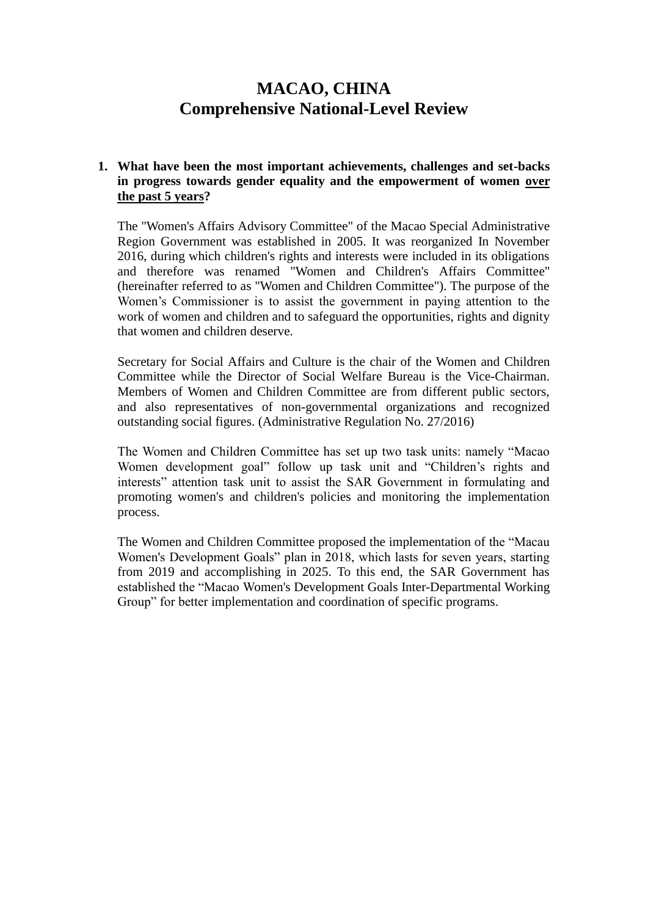# **MACAO, CHINA Comprehensive National-Level Review**

### **1. What have been the most important achievements, challenges and set-backs in progress towards gender equality and the empowerment of women over the past 5 years?**

The "Women's Affairs Advisory Committee" of the Macao Special Administrative Region Government was established in 2005. It was reorganized In November 2016, during which children's rights and interests were included in its obligations and therefore was renamed "Women and Children's Affairs Committee" (hereinafter referred to as "Women and Children Committee"). The purpose of the Women's Commissioner is to assist the government in paying attention to the work of women and children and to safeguard the opportunities, rights and dignity that women and children deserve.

Secretary for Social Affairs and Culture is the chair of the Women and Children Committee while the Director of Social Welfare Bureau is the Vice-Chairman. Members of Women and Children Committee are from different public sectors, and also representatives of non-governmental organizations and recognized outstanding social figures. (Administrative Regulation No. 27/2016)

The Women and Children Committee has set up two task units: namely "Macao Women development goal" follow up task unit and "Children's rights and interests" attention task unit to assist the SAR Government in formulating and promoting women's and children's policies and monitoring the implementation process.

The Women and Children Committee proposed the implementation of the "Macau Women's Development Goals" plan in 2018, which lasts for seven years, starting from 2019 and accomplishing in 2025. To this end, the SAR Government has established the "Macao Women's Development Goals Inter-Departmental Working Group" for better implementation and coordination of specific programs.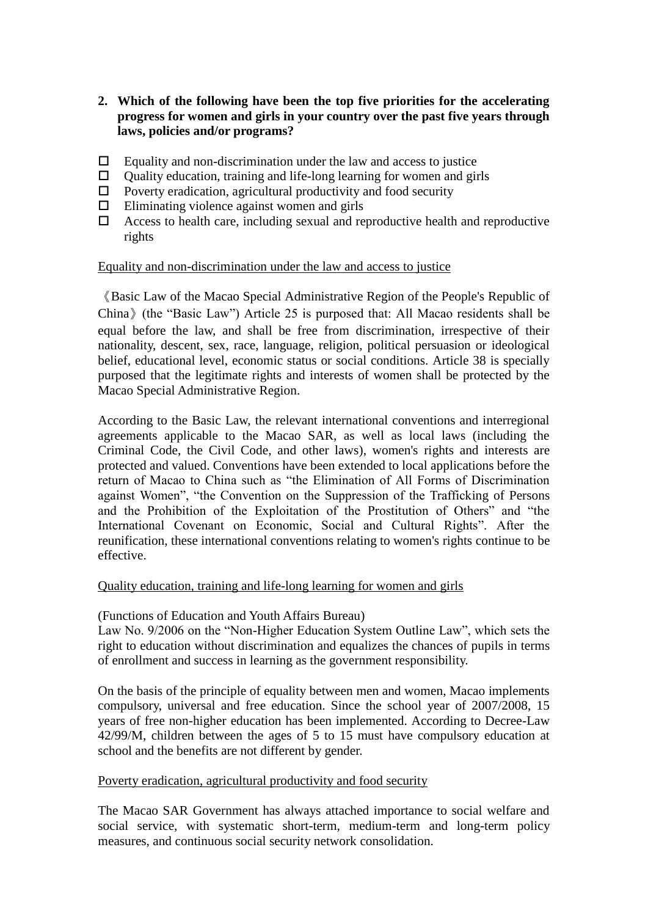- **2. Which of the following have been the top five priorities for the accelerating progress for women and girls in your country over the past five years through laws, policies and/or programs?**
- $\Box$  Equality and non-discrimination under the law and access to justice
- $\Box$  Ouality education, training and life-long learning for women and girls
- $\Box$  Poverty eradication, agricultural productivity and food security
- $\Box$  Eliminating violence against women and girls
- $\Box$  Access to health care, including sexual and reproductive health and reproductive rights

### Equality and non-discrimination under the law and access to justice

《Basic Law of the Macao Special Administrative Region of the People's Republic of China》(the "Basic Law") Article 25 is purposed that: All Macao residents shall be equal before the law, and shall be free from discrimination, irrespective of their nationality, descent, sex, race, language, religion, political persuasion or ideological belief, educational level, economic status or social conditions. Article 38 is specially purposed that the legitimate rights and interests of women shall be protected by the Macao Special Administrative Region.

According to the Basic Law, the relevant international conventions and interregional agreements applicable to the Macao SAR, as well as local laws (including the Criminal Code, the Civil Code, and other laws), women's rights and interests are protected and valued. Conventions have been extended to local applications before the return of Macao to China such as "the Elimination of All Forms of Discrimination against Women", "the Convention on the Suppression of the Trafficking of Persons and the Prohibition of the Exploitation of the Prostitution of Others" and "the International Covenant on Economic, Social and Cultural Rights". After the reunification, these international conventions relating to women's rights continue to be effective.

### Quality education, training and life-long learning for women and girls

### (Functions of Education and Youth Affairs Bureau)

Law No. 9/2006 on the "Non-Higher Education System Outline Law", which sets the right to education without discrimination and equalizes the chances of pupils in terms of enrollment and success in learning as the government responsibility.

On the basis of the principle of equality between men and women, Macao implements compulsory, universal and free education. Since the school year of 2007/2008, 15 years of free non-higher education has been implemented. According to Decree-Law 42/99/M, children between the ages of 5 to 15 must have compulsory education at school and the benefits are not different by gender.

### Poverty eradication, agricultural productivity and food security

The Macao SAR Government has always attached importance to social welfare and social service, with systematic short-term, medium-term and long-term policy measures, and continuous social security network consolidation.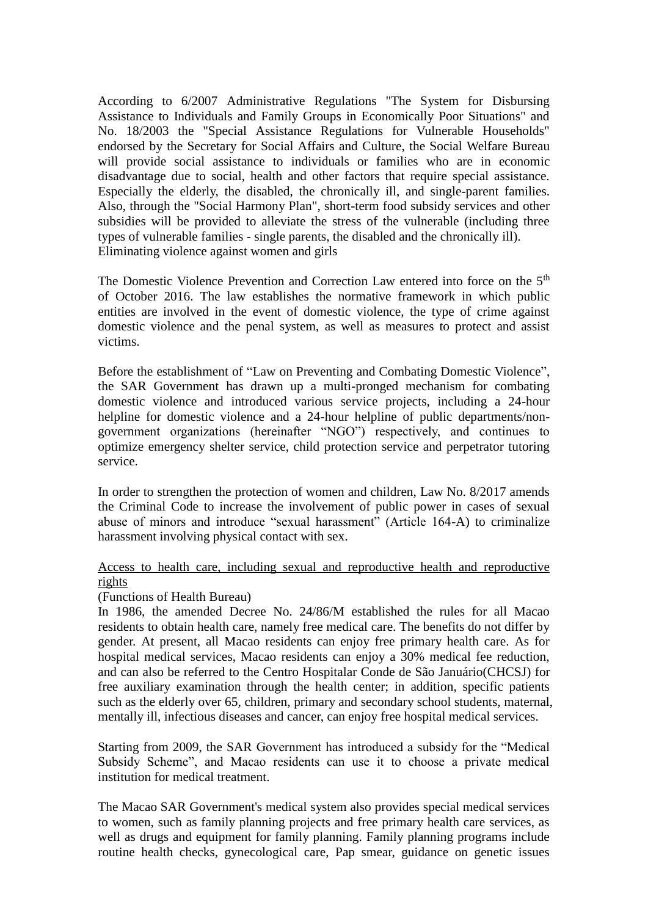According to 6/2007 Administrative Regulations "The System for Disbursing Assistance to Individuals and Family Groups in Economically Poor Situations" and No. 18/2003 the "Special Assistance Regulations for Vulnerable Households" endorsed by the Secretary for Social Affairs and Culture, the Social Welfare Bureau will provide social assistance to individuals or families who are in economic disadvantage due to social, health and other factors that require special assistance. Especially the elderly, the disabled, the chronically ill, and single-parent families. Also, through the "Social Harmony Plan", short-term food subsidy services and other subsidies will be provided to alleviate the stress of the vulnerable (including three types of vulnerable families - single parents, the disabled and the chronically ill). Eliminating violence against women and girls

The Domestic Violence Prevention and Correction Law entered into force on the  $5<sup>th</sup>$ of October 2016. The law establishes the normative framework in which public entities are involved in the event of domestic violence, the type of crime against domestic violence and the penal system, as well as measures to protect and assist victims.

Before the establishment of "Law on Preventing and Combating Domestic Violence", the SAR Government has drawn up a multi-pronged mechanism for combating domestic violence and introduced various service projects, including a 24-hour helpline for domestic violence and a 24-hour helpline of public departments/nongovernment organizations (hereinafter "NGO") respectively, and continues to optimize emergency shelter service, child protection service and perpetrator tutoring service.

In order to strengthen the protection of women and children, Law No. 8/2017 amends the Criminal Code to increase the involvement of public power in cases of sexual abuse of minors and introduce "sexual harassment" (Article 164-A) to criminalize harassment involving physical contact with sex.

### Access to health care, including sexual and reproductive health and reproductive rights

### (Functions of Health Bureau)

In 1986, the amended Decree No. 24/86/M established the rules for all Macao residents to obtain health care, namely free medical care. The benefits do not differ by gender. At present, all Macao residents can enjoy free primary health care. As for hospital medical services, Macao residents can enjoy a 30% medical fee reduction, and can also be referred to the Centro Hospitalar Conde de São Januário(CHCSJ) for free auxiliary examination through the health center; in addition, specific patients such as the elderly over 65, children, primary and secondary school students, maternal, mentally ill, infectious diseases and cancer, can enjoy free hospital medical services.

Starting from 2009, the SAR Government has introduced a subsidy for the "Medical Subsidy Scheme", and Macao residents can use it to choose a private medical institution for medical treatment.

The Macao SAR Government's medical system also provides special medical services to women, such as family planning projects and free primary health care services, as well as drugs and equipment for family planning. Family planning programs include routine health checks, gynecological care, Pap smear, guidance on genetic issues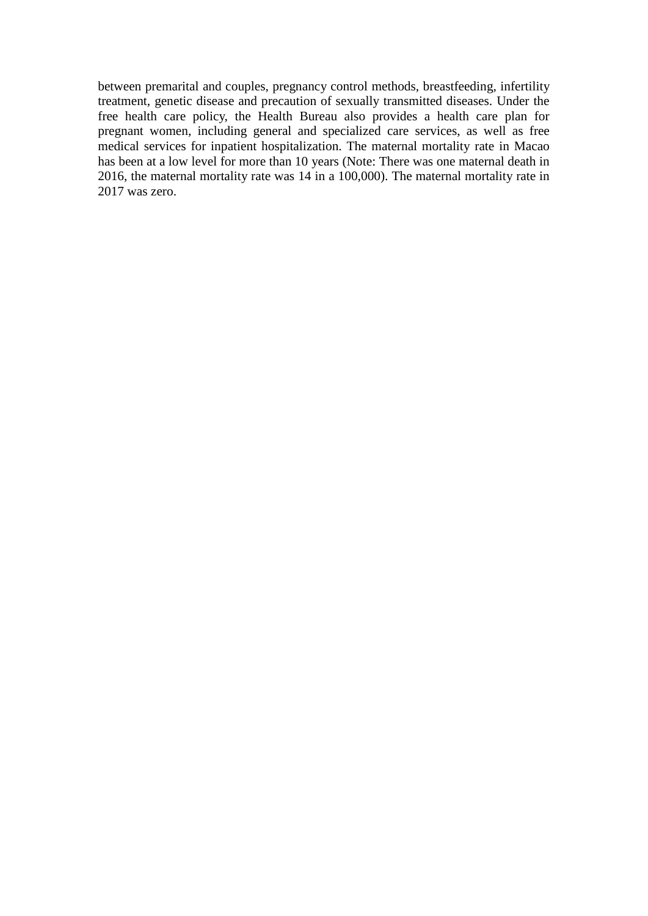between premarital and couples, pregnancy control methods, breastfeeding, infertility treatment, genetic disease and precaution of sexually transmitted diseases. Under the free health care policy, the Health Bureau also provides a health care plan for pregnant women, including general and specialized care services, as well as free medical services for inpatient hospitalization. The maternal mortality rate in Macao has been at a low level for more than 10 years (Note: There was one maternal death in 2016, the maternal mortality rate was 14 in a 100,000). The maternal mortality rate in 2017 was zero.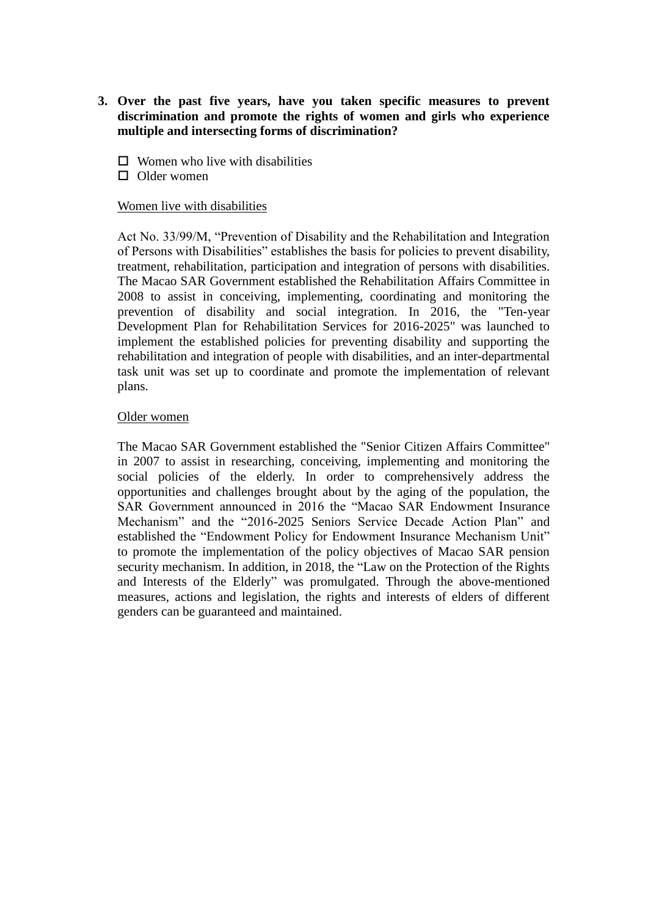- **3. Over the past five years, have you taken specific measures to prevent discrimination and promote the rights of women and girls who experience multiple and intersecting forms of discrimination?** 
	- $\square$  Women who live with disabilities
	- $\Box$  Older women

### Women live with disabilities

Act No. 33/99/M, "Prevention of Disability and the Rehabilitation and Integration of Persons with Disabilities" establishes the basis for policies to prevent disability, treatment, rehabilitation, participation and integration of persons with disabilities. The Macao SAR Government established the Rehabilitation Affairs Committee in 2008 to assist in conceiving, implementing, coordinating and monitoring the prevention of disability and social integration. In 2016, the "Ten-year Development Plan for Rehabilitation Services for 2016-2025" was launched to implement the established policies for preventing disability and supporting the rehabilitation and integration of people with disabilities, and an inter-departmental task unit was set up to coordinate and promote the implementation of relevant plans.

### Older women

The Macao SAR Government established the "Senior Citizen Affairs Committee" in 2007 to assist in researching, conceiving, implementing and monitoring the social policies of the elderly. In order to comprehensively address the opportunities and challenges brought about by the aging of the population, the SAR Government announced in 2016 the "Macao SAR Endowment Insurance Mechanism" and the "2016-2025 Seniors Service Decade Action Plan" and established the "Endowment Policy for Endowment Insurance Mechanism Unit" to promote the implementation of the policy objectives of Macao SAR pension security mechanism. In addition, in 2018, the "Law on the Protection of the Rights and Interests of the Elderly" was promulgated. Through the above-mentioned measures, actions and legislation, the rights and interests of elders of different genders can be guaranteed and maintained.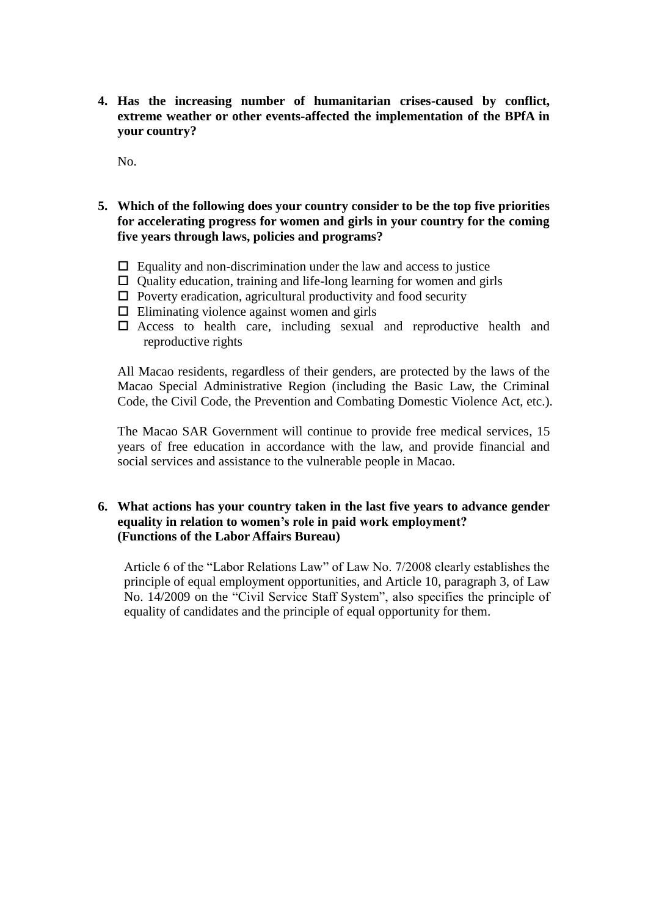**4. Has the increasing number of humanitarian crises-caused by conflict, extreme weather or other events-affected the implementation of the BPfA in your country?**

No.

- **5. Which of the following does your country consider to be the top five priorities for accelerating progress for women and girls in your country for the coming five years through laws, policies and programs?**
	- $\Box$  Equality and non-discrimination under the law and access to justice
	- $\Box$  Quality education, training and life-long learning for women and girls
	- $\Box$  Poverty eradication, agricultural productivity and food security
	- $\Box$  Eliminating violence against women and girls
	- $\square$  Access to health care, including sexual and reproductive health and reproductive rights

All Macao residents, regardless of their genders, are protected by the laws of the Macao Special Administrative Region (including the Basic Law, the Criminal Code, the Civil Code, the Prevention and Combating Domestic Violence Act, etc.).

The Macao SAR Government will continue to provide free medical services, 15 years of free education in accordance with the law, and provide financial and social services and assistance to the vulnerable people in Macao.

### **6. What actions has your country taken in the last five years to advance gender equality in relation to women's role in paid work employment? (Functions of the Labor Affairs Bureau)**

Article 6 of the "Labor Relations Law" of Law No. 7/2008 clearly establishes the principle of equal employment opportunities, and Article 10, paragraph 3, of Law No. 14/2009 on the "Civil Service Staff System", also specifies the principle of equality of candidates and the principle of equal opportunity for them.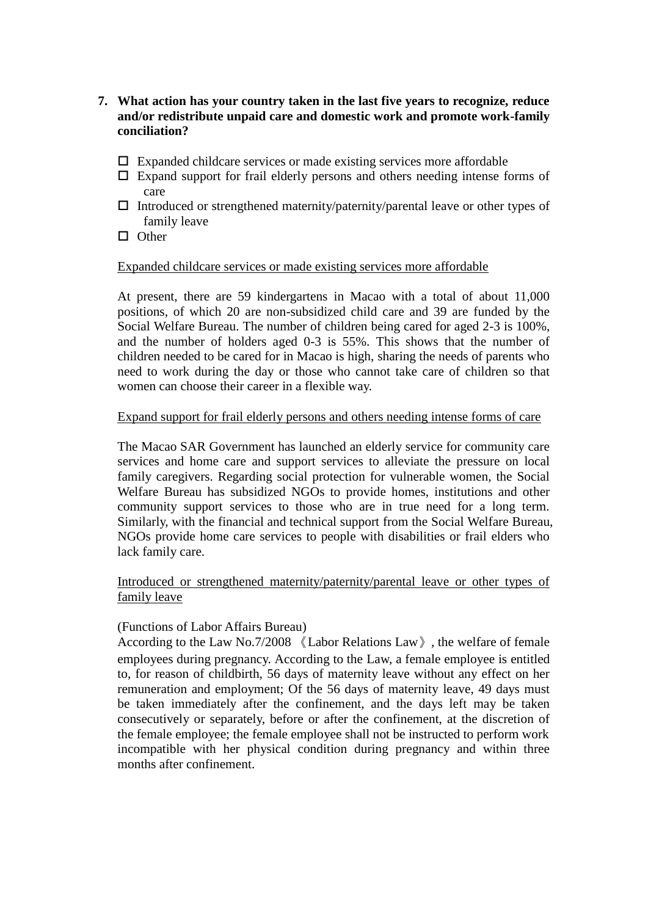- **7. What action has your country taken in the last five years to recognize, reduce and/or redistribute unpaid care and domestic work and promote work-family conciliation?**
	- $\Box$  Expanded childcare services or made existing services more affordable
	- $\Box$  Expand support for frail elderly persons and others needing intense forms of care
	- $\Box$  Introduced or strengthened maternity/paternity/parental leave or other types of family leave
	- $\Box$  Other

#### Expanded childcare services or made existing services more affordable

At present, there are 59 kindergartens in Macao with a total of about 11,000 positions, of which 20 are non-subsidized child care and 39 are funded by the Social Welfare Bureau. The number of children being cared for aged 2-3 is 100%, and the number of holders aged 0-3 is 55%. This shows that the number of children needed to be cared for in Macao is high, sharing the needs of parents who need to work during the day or those who cannot take care of children so that women can choose their career in a flexible way.

### Expand support for frail elderly persons and others needing intense forms of care

The Macao SAR Government has launched an elderly service for community care services and home care and support services to alleviate the pressure on local family caregivers. Regarding social protection for vulnerable women, the Social Welfare Bureau has subsidized NGOs to provide homes, institutions and other community support services to those who are in true need for a long term. Similarly, with the financial and technical support from the Social Welfare Bureau, NGOs provide home care services to people with disabilities or frail elders who lack family care.

### Introduced or strengthened maternity/paternity/parental leave or other types of family leave

### (Functions of Labor Affairs Bureau)

According to the Law No.7/2008 《Labor Relations Law》, the welfare of female employees during pregnancy. According to the Law, a female employee is entitled to, for reason of childbirth, 56 days of maternity leave without any effect on her remuneration and employment; Of the 56 days of maternity leave, 49 days must be taken immediately after the confinement, and the days left may be taken consecutively or separately, before or after the confinement, at the discretion of the female employee; the female employee shall not be instructed to perform work incompatible with her physical condition during pregnancy and within three months after confinement.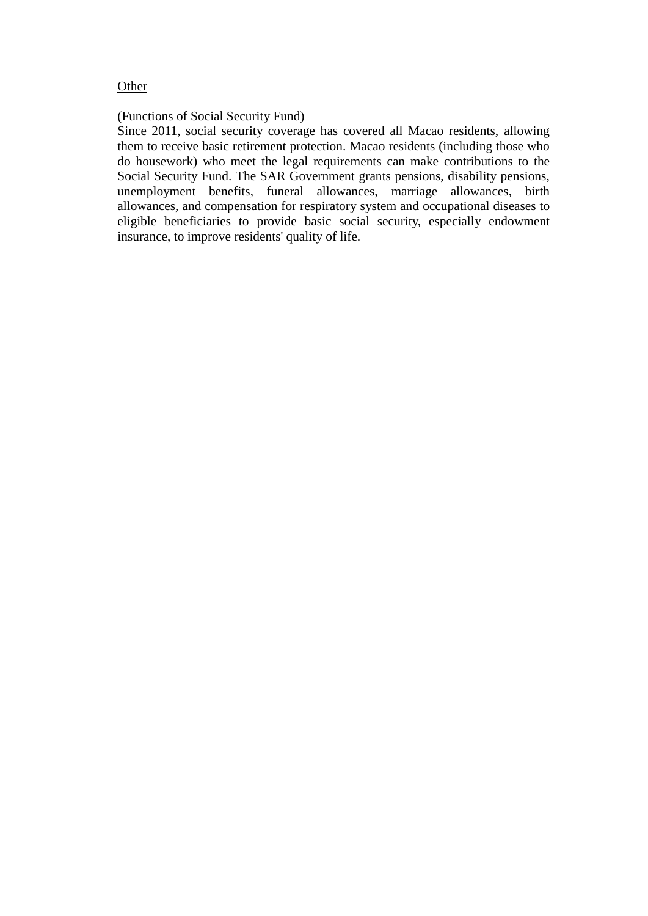#### **Other**

### (Functions of Social Security Fund)

Since 2011, social security coverage has covered all Macao residents, allowing them to receive basic retirement protection. Macao residents (including those who do housework) who meet the legal requirements can make contributions to the Social Security Fund. The SAR Government grants pensions, disability pensions, unemployment benefits, funeral allowances, marriage allowances, birth allowances, and compensation for respiratory system and occupational diseases to eligible beneficiaries to provide basic social security, especially endowment insurance, to improve residents' quality of life.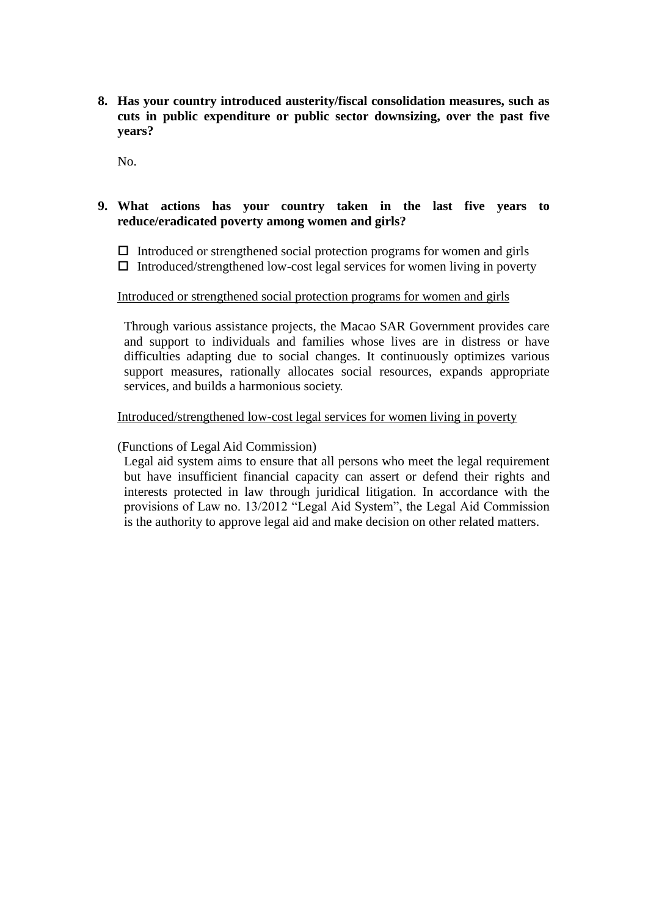**8. Has your country introduced austerity/fiscal consolidation measures, such as cuts in public expenditure or public sector downsizing, over the past five years?**

No.

### **9. What actions has your country taken in the last five years to reduce/eradicated poverty among women and girls?**

 $\Box$  Introduced or strengthened social protection programs for women and girls  $\Box$  Introduced/strengthened low-cost legal services for women living in poverty

#### Introduced or strengthened social protection programs for women and girls

Through various assistance projects, the Macao SAR Government provides care and support to individuals and families whose lives are in distress or have difficulties adapting due to social changes. It continuously optimizes various support measures, rationally allocates social resources, expands appropriate services, and builds a harmonious society.

### Introduced/strengthened low-cost legal services for women living in poverty

### (Functions of Legal Aid Commission)

Legal aid system aims to ensure that all persons who meet the legal requirement but have insufficient financial capacity can assert or defend their rights and interests protected in law through juridical litigation. In accordance with the provisions of Law no. 13/2012 "Legal Aid System", the Legal Aid Commission is the authority to approve legal aid and make decision on other related matters.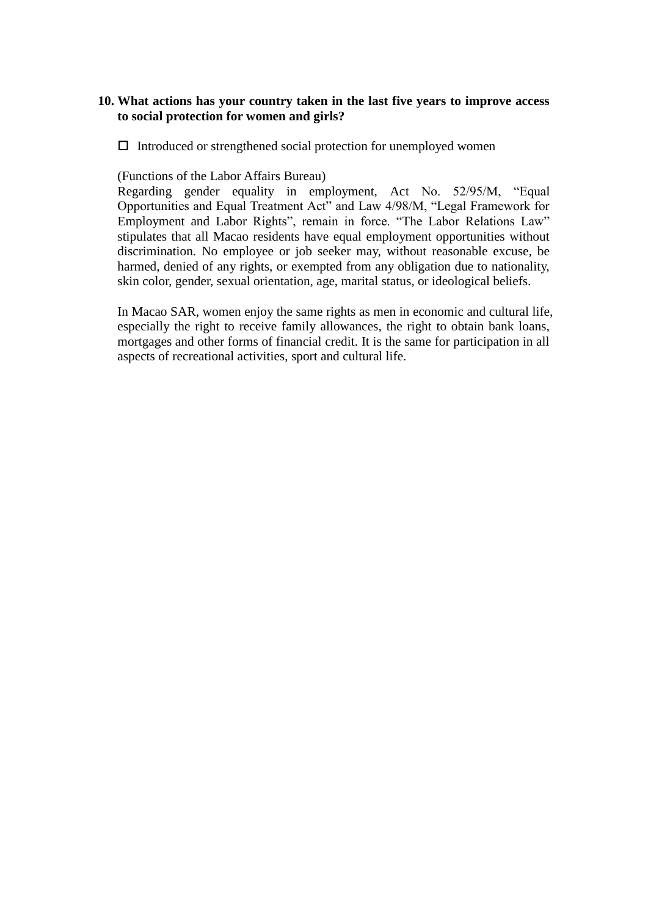### **10. What actions has your country taken in the last five years to improve access to social protection for women and girls?**

 $\Box$  Introduced or strengthened social protection for unemployed women

(Functions of the Labor Affairs Bureau)

Regarding gender equality in employment, Act No. 52/95/M, "Equal Opportunities and Equal Treatment Act" and Law 4/98/M, "Legal Framework for Employment and Labor Rights", remain in force. "The Labor Relations Law" stipulates that all Macao residents have equal employment opportunities without discrimination. No employee or job seeker may, without reasonable excuse, be harmed, denied of any rights, or exempted from any obligation due to nationality, skin color, gender, sexual orientation, age, marital status, or ideological beliefs.

In Macao SAR, women enjoy the same rights as men in economic and cultural life, especially the right to receive family allowances, the right to obtain bank loans, mortgages and other forms of financial credit. It is the same for participation in all aspects of recreational activities, sport and cultural life.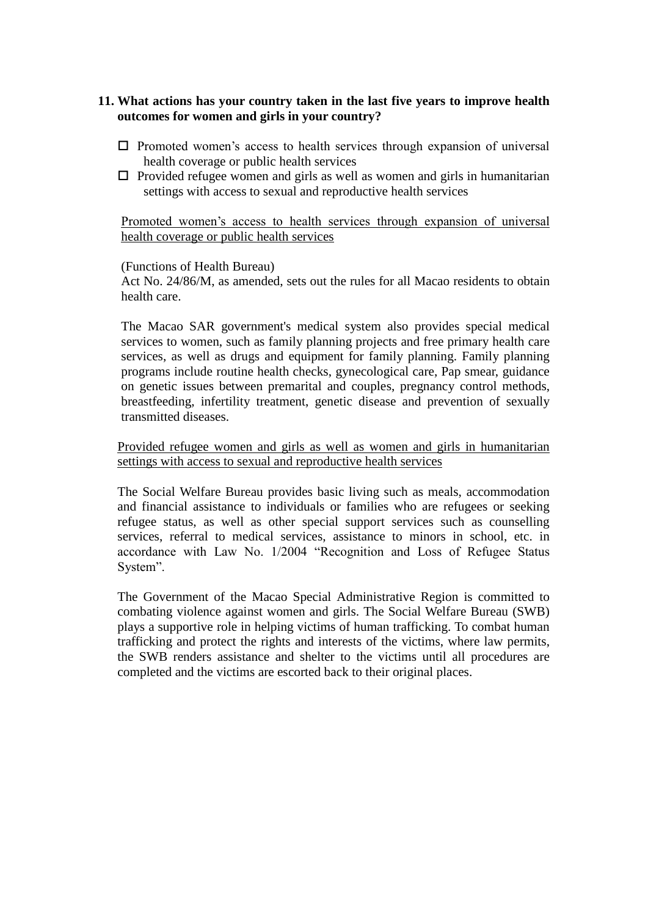### **11. What actions has your country taken in the last five years to improve health outcomes for women and girls in your country?**

- $\square$  Promoted women's access to health services through expansion of universal health coverage or public health services
- $\Box$  Provided refugee women and girls as well as women and girls in humanitarian settings with access to sexual and reproductive health services

### Promoted women's access to health services through expansion of universal health coverage or public health services

#### (Functions of Health Bureau)

Act No. 24/86/M, as amended, sets out the rules for all Macao residents to obtain health care.

The Macao SAR government's medical system also provides special medical services to women, such as family planning projects and free primary health care services, as well as drugs and equipment for family planning. Family planning programs include routine health checks, gynecological care, Pap smear, guidance on genetic issues between premarital and couples, pregnancy control methods, breastfeeding, infertility treatment, genetic disease and prevention of sexually transmitted diseases.

Provided refugee women and girls as well as women and girls in humanitarian settings with access to sexual and reproductive health services

The Social Welfare Bureau provides basic living such as meals, accommodation and financial assistance to individuals or families who are refugees or seeking refugee status, as well as other special support services such as counselling services, referral to medical services, assistance to minors in school, etc. in accordance with Law No. 1/2004 "Recognition and Loss of Refugee Status System".

The Government of the Macao Special Administrative Region is committed to combating violence against women and girls. The Social Welfare Bureau (SWB) plays a supportive role in helping victims of human trafficking. To combat human trafficking and protect the rights and interests of the victims, where law permits, the SWB renders assistance and shelter to the victims until all procedures are completed and the victims are escorted back to their original places.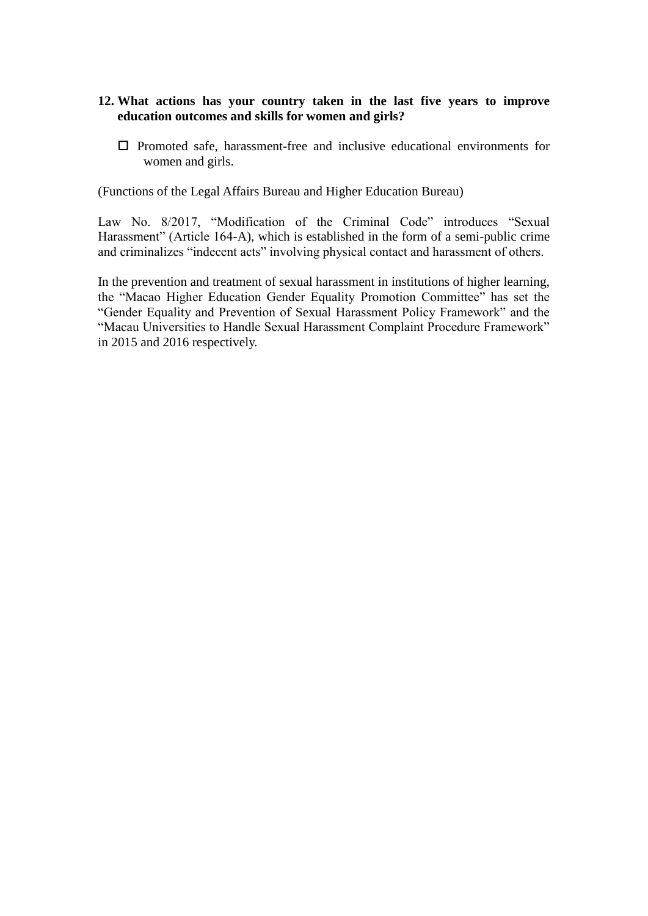### **12. What actions has your country taken in the last five years to improve education outcomes and skills for women and girls?**

 $\Box$  Promoted safe, harassment-free and inclusive educational environments for women and girls.

(Functions of the Legal Affairs Bureau and Higher Education Bureau)

Law No. 8/2017, "Modification of the Criminal Code" introduces "Sexual Harassment" (Article 164-A), which is established in the form of a semi-public crime and criminalizes "indecent acts" involving physical contact and harassment of others.

In the prevention and treatment of sexual harassment in institutions of higher learning, the "Macao Higher Education Gender Equality Promotion Committee" has set the "Gender Equality and Prevention of Sexual Harassment Policy Framework" and the "Macau Universities to Handle Sexual Harassment Complaint Procedure Framework" in 2015 and 2016 respectively.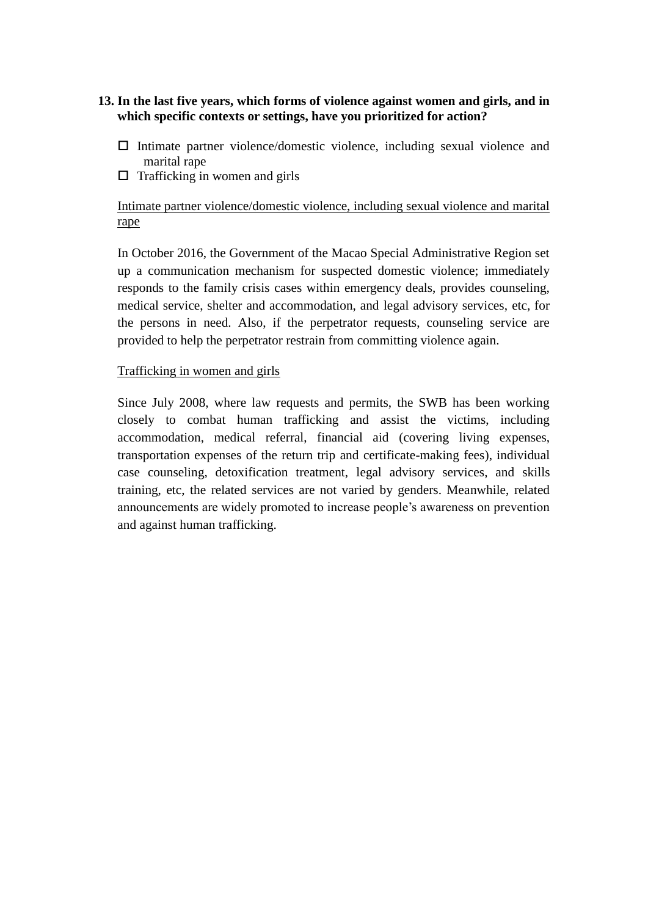### **13. In the last five years, which forms of violence against women and girls, and in which specific contexts or settings, have you prioritized for action?**

- $\Box$  Intimate partner violence/domestic violence, including sexual violence and marital rape
- $\Box$  Trafficking in women and girls

### Intimate partner violence/domestic violence, including sexual violence and marital rape

In October 2016, the Government of the Macao Special Administrative Region set up a communication mechanism for suspected domestic violence; immediately responds to the family crisis cases within emergency deals, provides counseling, medical service, shelter and accommodation, and legal advisory services, etc, for the persons in need. Also, if the perpetrator requests, counseling service are provided to help the perpetrator restrain from committing violence again.

### Trafficking in women and girls

Since July 2008, where law requests and permits, the SWB has been working closely to combat human trafficking and assist the victims, including accommodation, medical referral, financial aid (covering living expenses, transportation expenses of the return trip and certificate-making fees), individual case counseling, detoxification treatment, legal advisory services, and skills training, etc, the related services are not varied by genders. Meanwhile, related announcements are widely promoted to increase people's awareness on prevention and against human trafficking.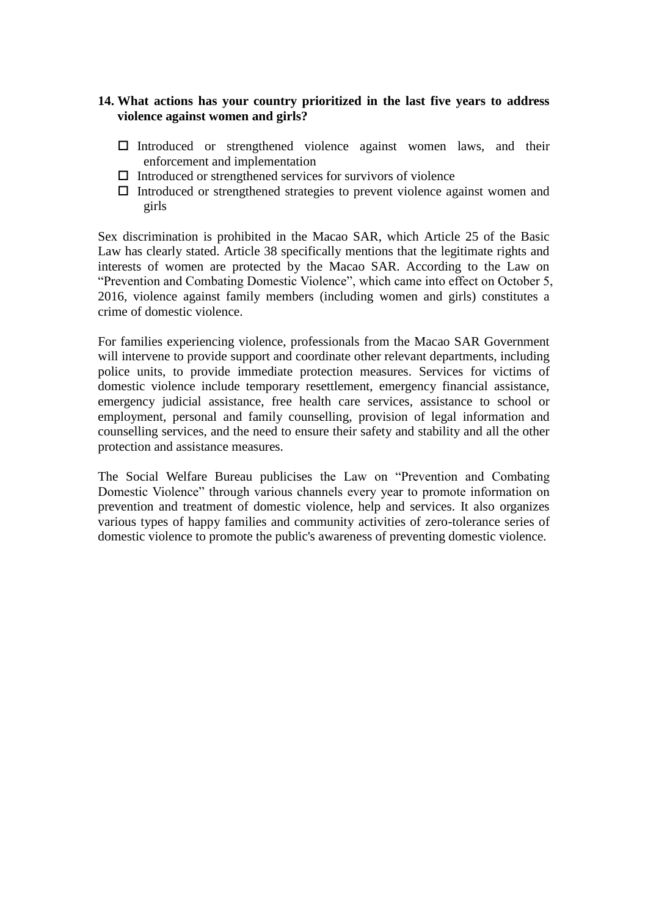### **14. What actions has your country prioritized in the last five years to address violence against women and girls?**

- Introduced or strengthened violence against women laws, and their enforcement and implementation
- $\Box$  Introduced or strengthened services for survivors of violence
- $\Box$  Introduced or strengthened strategies to prevent violence against women and girls

Sex discrimination is prohibited in the Macao SAR, which Article 25 of the Basic Law has clearly stated. Article 38 specifically mentions that the legitimate rights and interests of women are protected by the Macao SAR. According to the Law on "Prevention and Combating Domestic Violence", which came into effect on October 5, 2016, violence against family members (including women and girls) constitutes a crime of domestic violence.

For families experiencing violence, professionals from the Macao SAR Government will intervene to provide support and coordinate other relevant departments, including police units, to provide immediate protection measures. Services for victims of domestic violence include temporary resettlement, emergency financial assistance, emergency judicial assistance, free health care services, assistance to school or employment, personal and family counselling, provision of legal information and counselling services, and the need to ensure their safety and stability and all the other protection and assistance measures.

The Social Welfare Bureau publicises the Law on "Prevention and Combating Domestic Violence" through various channels every year to promote information on prevention and treatment of domestic violence, help and services. It also organizes various types of happy families and community activities of zero-tolerance series of domestic violence to promote the public's awareness of preventing domestic violence.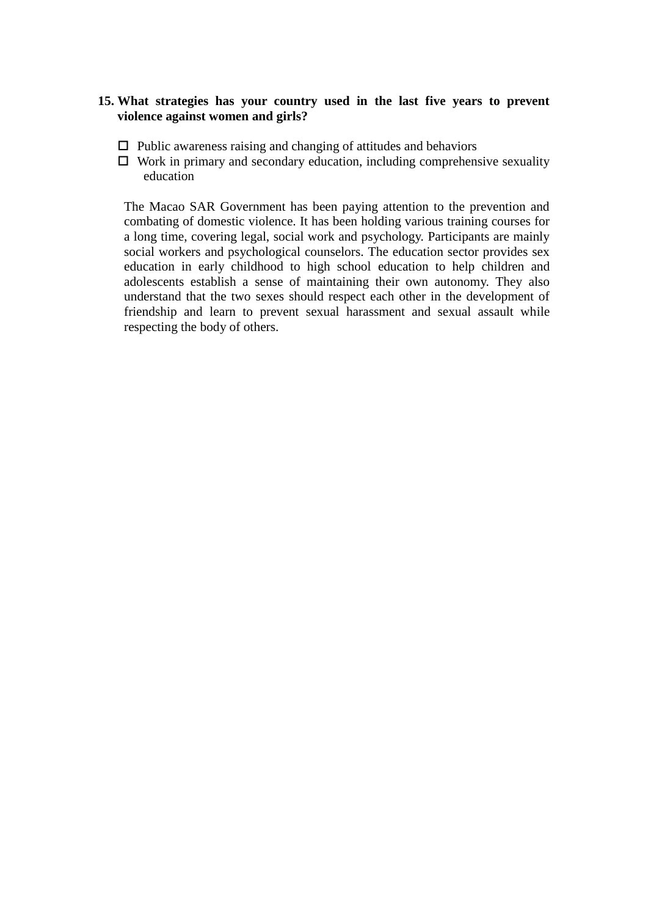### **15. What strategies has your country used in the last five years to prevent violence against women and girls?**

- $\Box$  Public awareness raising and changing of attitudes and behaviors
- $\Box$  Work in primary and secondary education, including comprehensive sexuality education

The Macao SAR Government has been paying attention to the prevention and combating of domestic violence. It has been holding various training courses for a long time, covering legal, social work and psychology. Participants are mainly social workers and psychological counselors. The education sector provides sex education in early childhood to high school education to help children and adolescents establish a sense of maintaining their own autonomy. They also understand that the two sexes should respect each other in the development of friendship and learn to prevent sexual harassment and sexual assault while respecting the body of others.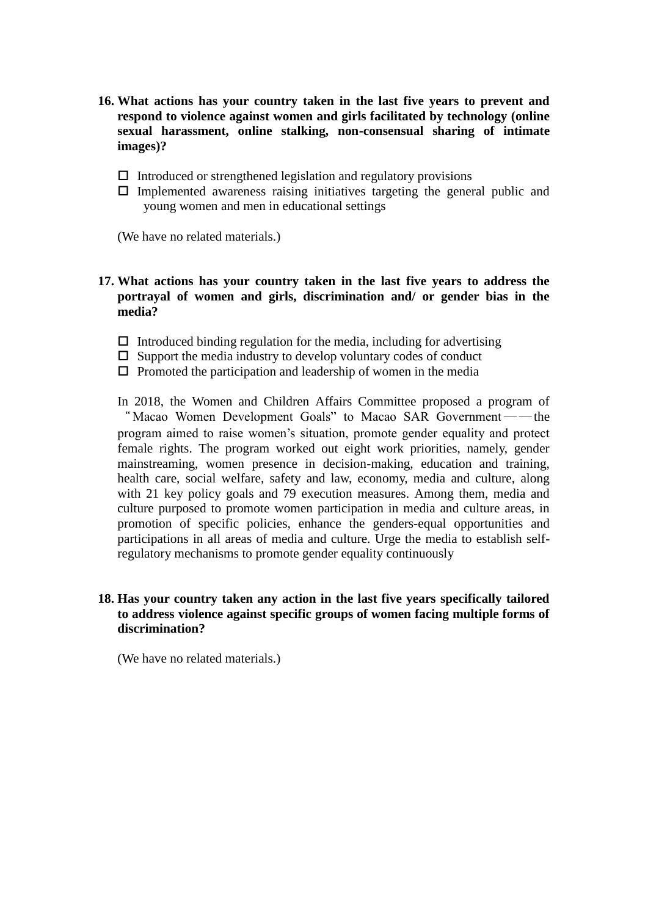- **16. What actions has your country taken in the last five years to prevent and respond to violence against women and girls facilitated by technology (online sexual harassment, online stalking, non-consensual sharing of intimate images)?**
	- $\Box$  Introduced or strengthened legislation and regulatory provisions
	- $\Box$  Implemented awareness raising initiatives targeting the general public and young women and men in educational settings

(We have no related materials.)

### **17. What actions has your country taken in the last five years to address the portrayal of women and girls, discrimination and/ or gender bias in the media?**

- $\Box$  Introduced binding regulation for the media, including for advertising
- $\square$  Support the media industry to develop voluntary codes of conduct
- $\Box$  Promoted the participation and leadership of women in the media
- In 2018, the Women and Children Affairs Committee proposed a program of "Macao Women Development Goals" to Macao SAR Government — the program aimed to raise women's situation, promote gender equality and protect female rights. The program worked out eight work priorities, namely, gender mainstreaming, women presence in decision-making, education and training, health care, social welfare, safety and law, economy, media and culture, along with 21 key policy goals and 79 execution measures. Among them, media and culture purposed to promote women participation in media and culture areas, in promotion of specific policies, enhance the genders-equal opportunities and participations in all areas of media and culture. Urge the media to establish selfregulatory mechanisms to promote gender equality continuously

### **18. Has your country taken any action in the last five years specifically tailored to address violence against specific groups of women facing multiple forms of discrimination?**

(We have no related materials.)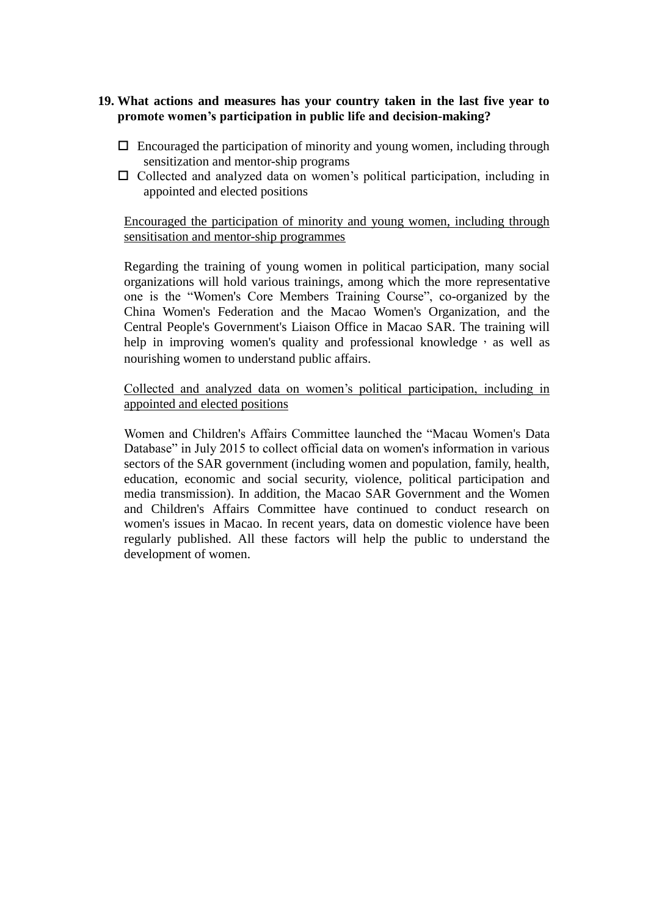### **19. What actions and measures has your country taken in the last five year to promote women's participation in public life and decision-making?**

- $\Box$  Encouraged the participation of minority and young women, including through sensitization and mentor-ship programs
- $\Box$  Collected and analyzed data on women's political participation, including in appointed and elected positions

### Encouraged the participation of minority and young women, including through sensitisation and mentor-ship programmes

Regarding the training of young women in political participation, many social organizations will hold various trainings, among which the more representative one is the "Women's Core Members Training Course", co-organized by the China Women's Federation and the Macao Women's Organization, and the Central People's Government's Liaison Office in Macao SAR. The training will help in improving women's quality and professional knowledge, as well as nourishing women to understand public affairs.

### Collected and analyzed data on women's political participation, including in appointed and elected positions

Women and Children's Affairs Committee launched the "Macau Women's Data Database" in July 2015 to collect official data on women's information in various sectors of the SAR government (including women and population, family, health, education, economic and social security, violence, political participation and media transmission). In addition, the Macao SAR Government and the Women and Children's Affairs Committee have continued to conduct research on women's issues in Macao. In recent years, data on domestic violence have been regularly published. All these factors will help the public to understand the development of women.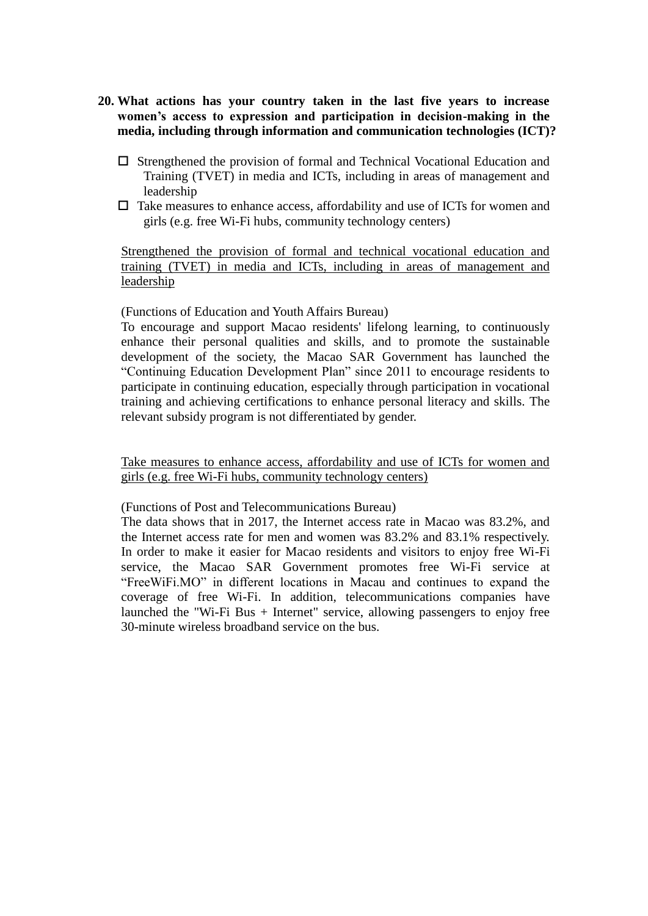- **20. What actions has your country taken in the last five years to increase women's access to expression and participation in decision-making in the media, including through information and communication technologies (ICT)?**
	- $\square$  Strengthened the provision of formal and Technical Vocational Education and Training (TVET) in media and ICTs, including in areas of management and leadership
	- $\Box$  Take measures to enhance access, affordability and use of ICTs for women and girls (e.g. free Wi-Fi hubs, community technology centers)

Strengthened the provision of formal and technical vocational education and training (TVET) in media and ICTs, including in areas of management and leadership

(Functions of Education and Youth Affairs Bureau)

To encourage and support Macao residents' lifelong learning, to continuously enhance their personal qualities and skills, and to promote the sustainable development of the society, the Macao SAR Government has launched the "Continuing Education Development Plan" since 2011 to encourage residents to participate in continuing education, especially through participation in vocational training and achieving certifications to enhance personal literacy and skills. The relevant subsidy program is not differentiated by gender.

Take measures to enhance access, affordability and use of ICTs for women and girls (e.g. free Wi-Fi hubs, community technology centers)

(Functions of Post and Telecommunications Bureau)

The data shows that in 2017, the Internet access rate in Macao was 83.2%, and the Internet access rate for men and women was 83.2% and 83.1% respectively. In order to make it easier for Macao residents and visitors to enjoy free Wi-Fi service, the Macao SAR Government promotes free Wi-Fi service at "FreeWiFi.MO" in different locations in Macau and continues to expand the coverage of free Wi-Fi. In addition, telecommunications companies have launched the "Wi-Fi Bus + Internet" service, allowing passengers to enjoy free 30-minute wireless broadband service on the bus.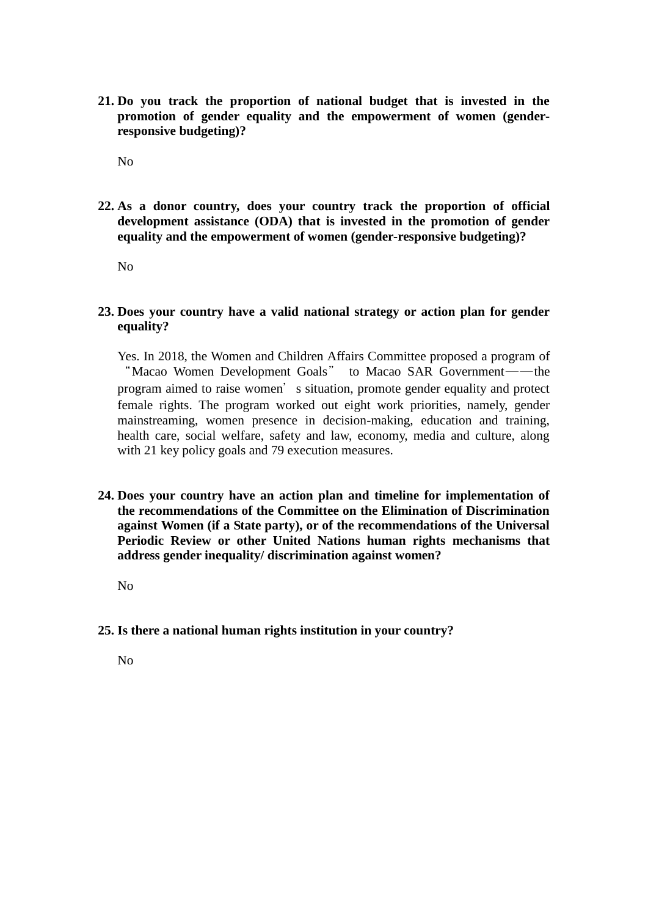**21. Do you track the proportion of national budget that is invested in the promotion of gender equality and the empowerment of women (genderresponsive budgeting)?**

No

**22. As a donor country, does your country track the proportion of official development assistance (ODA) that is invested in the promotion of gender equality and the empowerment of women (gender-responsive budgeting)?**

No

### **23. Does your country have a valid national strategy or action plan for gender equality?**

Yes. In 2018, the Women and Children Affairs Committee proposed a program of "Macao Women Development Goals" to Macao SAR Government---- the program aimed to raise women's situation, promote gender equality and protect female rights. The program worked out eight work priorities, namely, gender mainstreaming, women presence in decision-making, education and training, health care, social welfare, safety and law, economy, media and culture, along with 21 key policy goals and 79 execution measures.

**24. Does your country have an action plan and timeline for implementation of the recommendations of the Committee on the Elimination of Discrimination against Women (if a State party), or of the recommendations of the Universal Periodic Review or other United Nations human rights mechanisms that address gender inequality/ discrimination against women?**

No

**25. Is there a national human rights institution in your country?**

No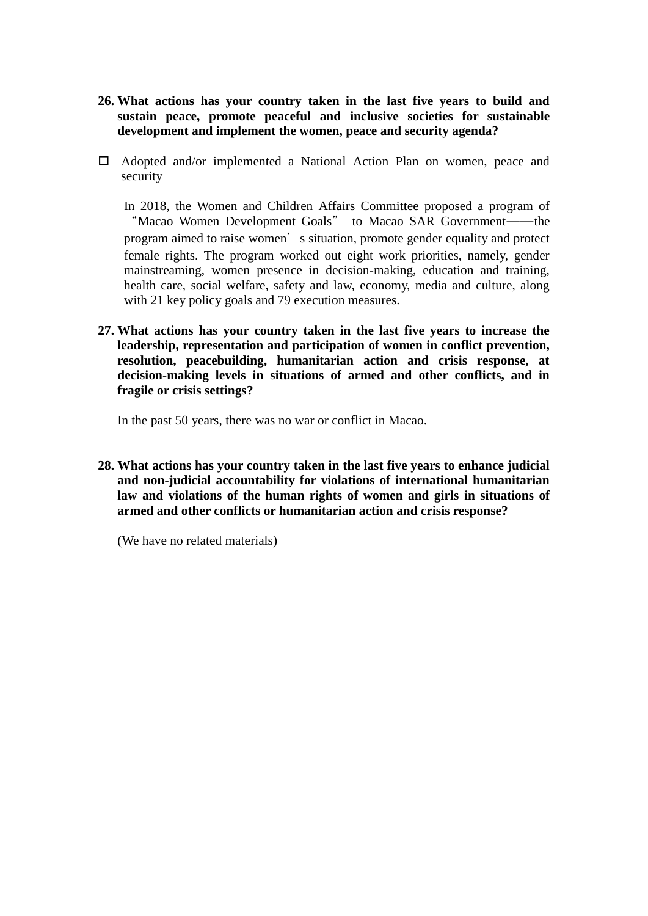- **26. What actions has your country taken in the last five years to build and sustain peace, promote peaceful and inclusive societies for sustainable development and implement the women, peace and security agenda?**
- Adopted and/or implemented a National Action Plan on women, peace and security

In 2018, the Women and Children Affairs Committee proposed a program of "Macao Women Development Goals" to Macao SAR Government——the program aimed to raise women's situation, promote gender equality and protect female rights. The program worked out eight work priorities, namely, gender mainstreaming, women presence in decision-making, education and training, health care, social welfare, safety and law, economy, media and culture, along with 21 key policy goals and 79 execution measures.

**27. What actions has your country taken in the last five years to increase the leadership, representation and participation of women in conflict prevention, resolution, peacebuilding, humanitarian action and crisis response, at decision-making levels in situations of armed and other conflicts, and in fragile or crisis settings?**

In the past 50 years, there was no war or conflict in Macao.

**28. What actions has your country taken in the last five years to enhance judicial and non-judicial accountability for violations of international humanitarian law and violations of the human rights of women and girls in situations of armed and other conflicts or humanitarian action and crisis response?**

(We have no related materials)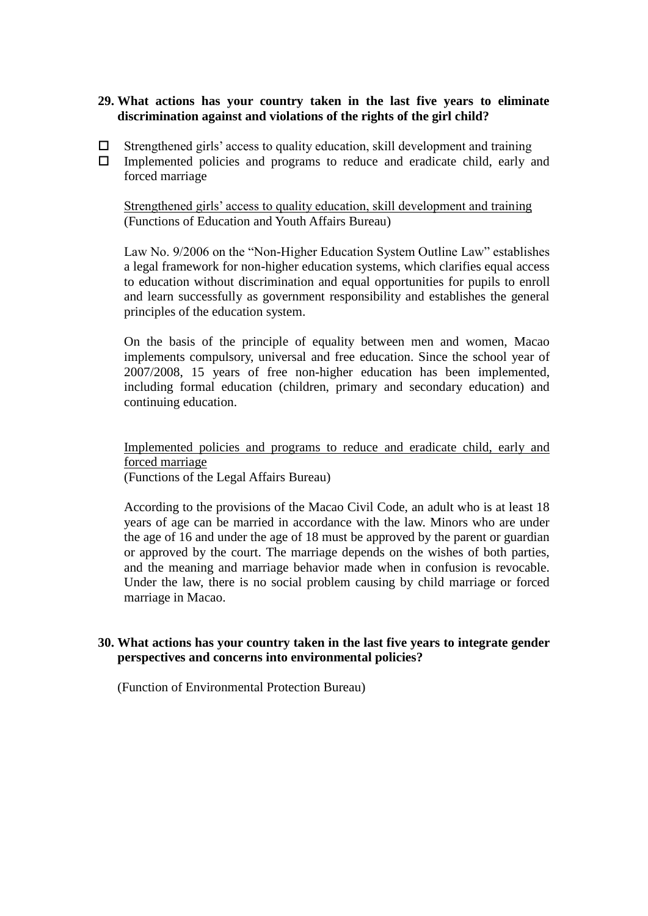### **29. What actions has your country taken in the last five years to eliminate discrimination against and violations of the rights of the girl child?**

- $\Box$  Strengthened girls' access to quality education, skill development and training
- $\Box$  Implemented policies and programs to reduce and eradicate child, early and forced marriage

Strengthened girls' access to quality education, skill development and training (Functions of Education and Youth Affairs Bureau)

Law No. 9/2006 on the "Non-Higher Education System Outline Law" establishes a legal framework for non-higher education systems, which clarifies equal access to education without discrimination and equal opportunities for pupils to enroll and learn successfully as government responsibility and establishes the general principles of the education system.

On the basis of the principle of equality between men and women, Macao implements compulsory, universal and free education. Since the school year of 2007/2008, 15 years of free non-higher education has been implemented, including formal education (children, primary and secondary education) and continuing education.

Implemented policies and programs to reduce and eradicate child, early and forced marriage (Functions of the Legal Affairs Bureau)

According to the provisions of the Macao Civil Code, an adult who is at least 18 years of age can be married in accordance with the law. Minors who are under the age of 16 and under the age of 18 must be approved by the parent or guardian or approved by the court. The marriage depends on the wishes of both parties, and the meaning and marriage behavior made when in confusion is revocable. Under the law, there is no social problem causing by child marriage or forced marriage in Macao.

### **30. What actions has your country taken in the last five years to integrate gender perspectives and concerns into environmental policies?**

(Function of Environmental Protection Bureau)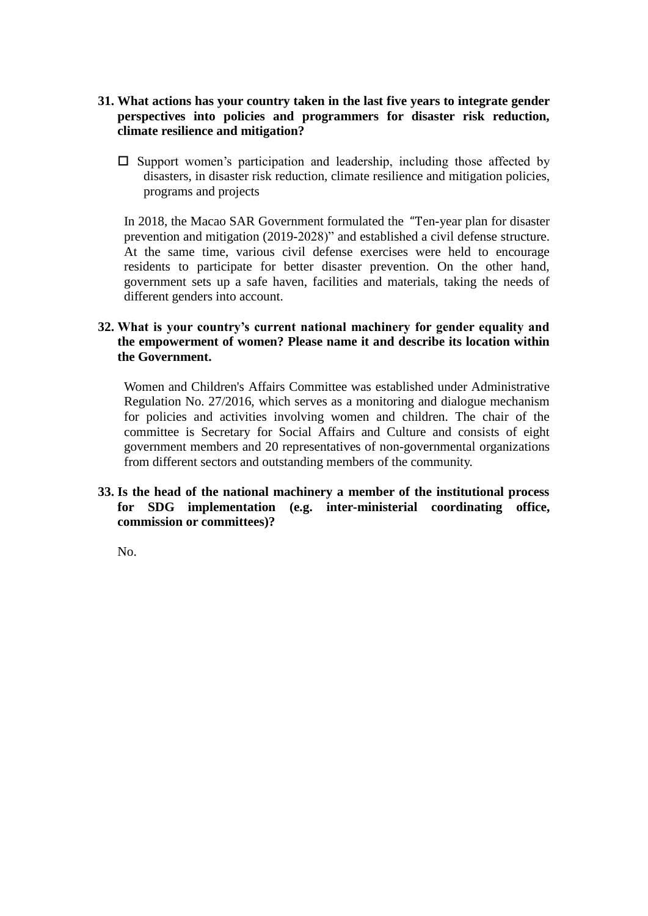- **31. What actions has your country taken in the last five years to integrate gender perspectives into policies and programmers for disaster risk reduction, climate resilience and mitigation?**
	- $\square$  Support women's participation and leadership, including those affected by disasters, in disaster risk reduction, climate resilience and mitigation policies, programs and projects

In 2018, the Macao SAR Government formulated the "Ten-year plan for disaster prevention and mitigation (2019-2028)" and established a civil defense structure. At the same time, various civil defense exercises were held to encourage residents to participate for better disaster prevention. On the other hand, government sets up a safe haven, facilities and materials, taking the needs of different genders into account.

### **32. What is your country's current national machinery for gender equality and the empowerment of women? Please name it and describe its location within the Government.**

Women and Children's Affairs Committee was established under Administrative Regulation No. 27/2016, which serves as a monitoring and dialogue mechanism for policies and activities involving women and children. The chair of the committee is Secretary for Social Affairs and Culture and consists of eight government members and 20 representatives of non-governmental organizations from different sectors and outstanding members of the community.

### **33. Is the head of the national machinery a member of the institutional process for SDG implementation (e.g. inter-ministerial coordinating office, commission or committees)?**

No.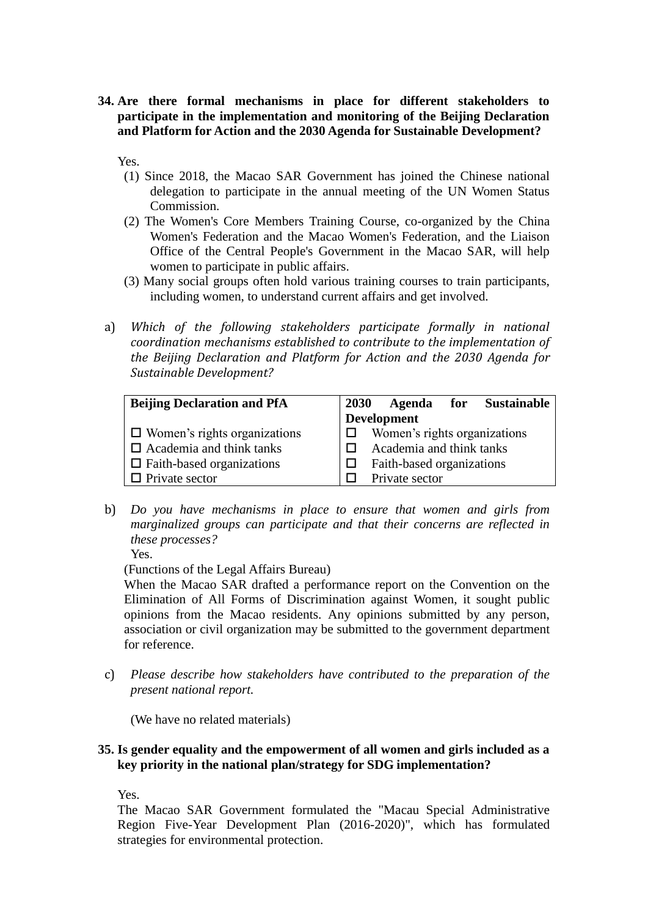**34. Are there formal mechanisms in place for different stakeholders to participate in the implementation and monitoring of the Beijing Declaration and Platform for Action and the 2030 Agenda for Sustainable Development?**

Yes.

- (1) Since 2018, the Macao SAR Government has joined the Chinese national delegation to participate in the annual meeting of the UN Women Status Commission.
- (2) The Women's Core Members Training Course, co-organized by the China Women's Federation and the Macao Women's Federation, and the Liaison Office of the Central People's Government in the Macao SAR, will help women to participate in public affairs.
- (3) Many social groups often hold various training courses to train participants, including women, to understand current affairs and get involved.
- a) *Which of the following stakeholders participate formally in national coordination mechanisms established to contribute to the implementation of the Beijing Declaration and Platform for Action and the 2030 Agenda for Sustainable Development?*

| <b>Beijing Declaration and PfA</b>  | <b>2030</b>        |                          | Agenda for                |  | <b>Sustainable</b>           |
|-------------------------------------|--------------------|--------------------------|---------------------------|--|------------------------------|
|                                     | <b>Development</b> |                          |                           |  |                              |
| $\Box$ Women's rights organizations |                    |                          |                           |  | Women's rights organizations |
| $\Box$ Academia and think tanks     |                    | Academia and think tanks |                           |  |                              |
| $\Box$ Faith-based organizations    |                    |                          | Faith-based organizations |  |                              |
| $\Box$ Private sector               |                    |                          | Private sector            |  |                              |

b) *Do you have mechanisms in place to ensure that women and girls from marginalized groups can participate and that their concerns are reflected in these processes?*

Yes.

(Functions of the Legal Affairs Bureau)

When the Macao SAR drafted a performance report on the Convention on the Elimination of All Forms of Discrimination against Women, it sought public opinions from the Macao residents. Any opinions submitted by any person, association or civil organization may be submitted to the government department for reference.

c) *Please describe how stakeholders have contributed to the preparation of the present national report.*

(We have no related materials)

### **35. Is gender equality and the empowerment of all women and girls included as a key priority in the national plan/strategy for SDG implementation?**

Yes.

The Macao SAR Government formulated the "Macau Special Administrative Region Five-Year Development Plan (2016-2020)", which has formulated strategies for environmental protection.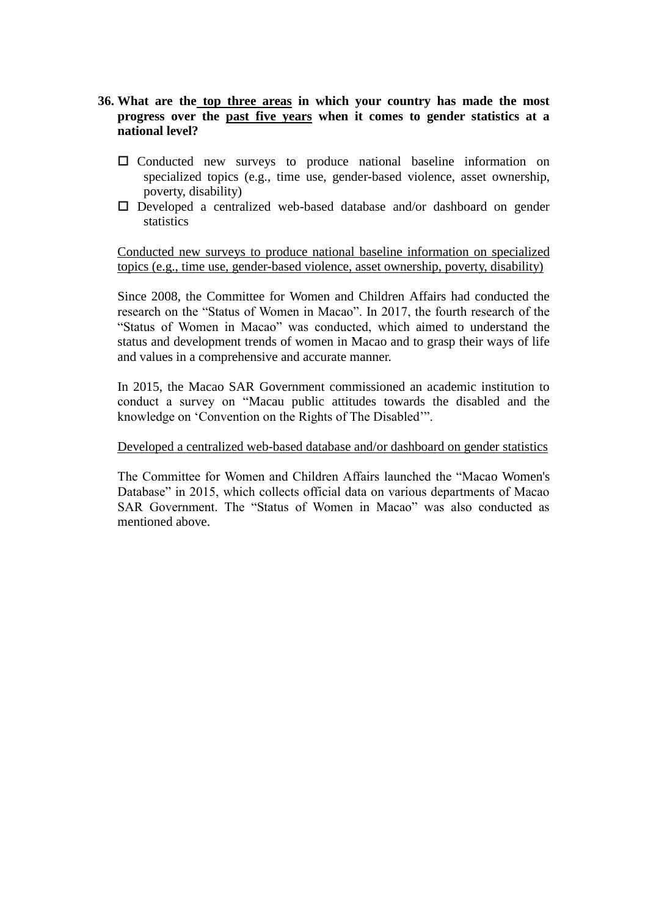- **36. What are the top three areas in which your country has made the most progress over the past five years when it comes to gender statistics at a national level?**
	- Conducted new surveys to produce national baseline information on specialized topics (e.g., time use, gender-based violence, asset ownership, poverty, disability)
	- $\square$  Developed a centralized web-based database and/or dashboard on gender statistics

Conducted new surveys to produce national baseline information on specialized topics (e.g., time use, gender-based violence, asset ownership, poverty, disability)

Since 2008, the Committee for Women and Children Affairs had conducted the research on the "Status of Women in Macao". In 2017, the fourth research of the "Status of Women in Macao" was conducted, which aimed to understand the status and development trends of women in Macao and to grasp their ways of life and values in a comprehensive and accurate manner.

In 2015, the Macao SAR Government commissioned an academic institution to conduct a survey on "Macau public attitudes towards the disabled and the knowledge on 'Convention on the Rights of The Disabled'".

#### Developed a centralized web-based database and/or dashboard on gender statistics

The Committee for Women and Children Affairs launched the "Macao Women's Database" in 2015, which collects official data on various departments of Macao SAR Government. The "Status of Women in Macao" was also conducted as mentioned above.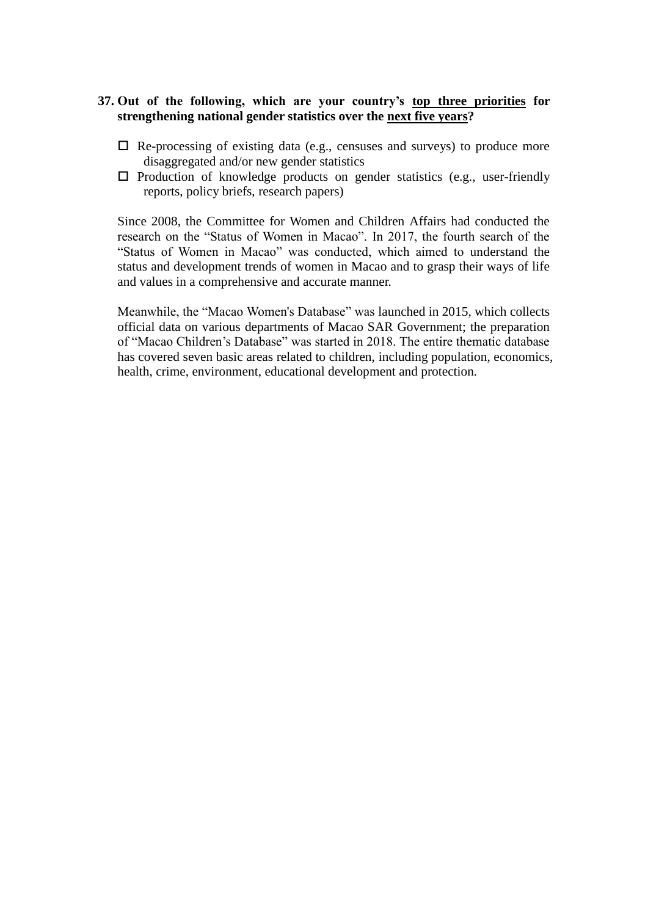### **37. Out of the following, which are your country's top three priorities for strengthening national gender statistics over the next five years?**

- $\Box$  Re-processing of existing data (e.g., censuses and surveys) to produce more disaggregated and/or new gender statistics
- $\Box$  Production of knowledge products on gender statistics (e.g., user-friendly reports, policy briefs, research papers)

Since 2008, the Committee for Women and Children Affairs had conducted the research on the "Status of Women in Macao". In 2017, the fourth search of the "Status of Women in Macao" was conducted, which aimed to understand the status and development trends of women in Macao and to grasp their ways of life and values in a comprehensive and accurate manner.

Meanwhile, the "Macao Women's Database" was launched in 2015, which collects official data on various departments of Macao SAR Government; the preparation of "Macao Children's Database" was started in 2018. The entire thematic database has covered seven basic areas related to children, including population, economics, health, crime, environment, educational development and protection.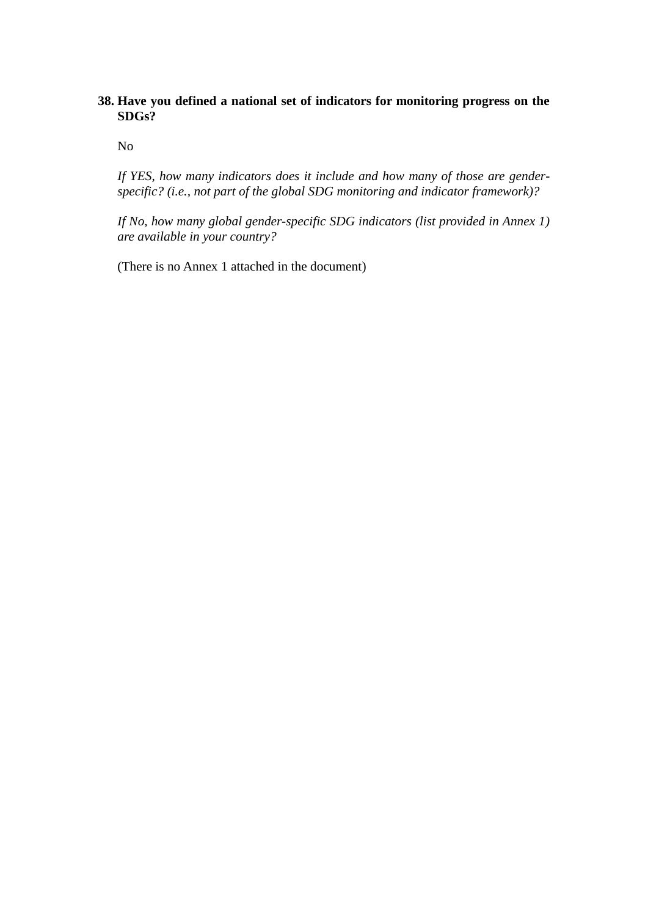### **38. Have you defined a national set of indicators for monitoring progress on the SDGs?**

No

*If YES, how many indicators does it include and how many of those are genderspecific? (i.e., not part of the global SDG monitoring and indicator framework)?*

*If No, how many global gender-specific SDG indicators (list provided in Annex 1) are available in your country?*

(There is no Annex 1 attached in the document)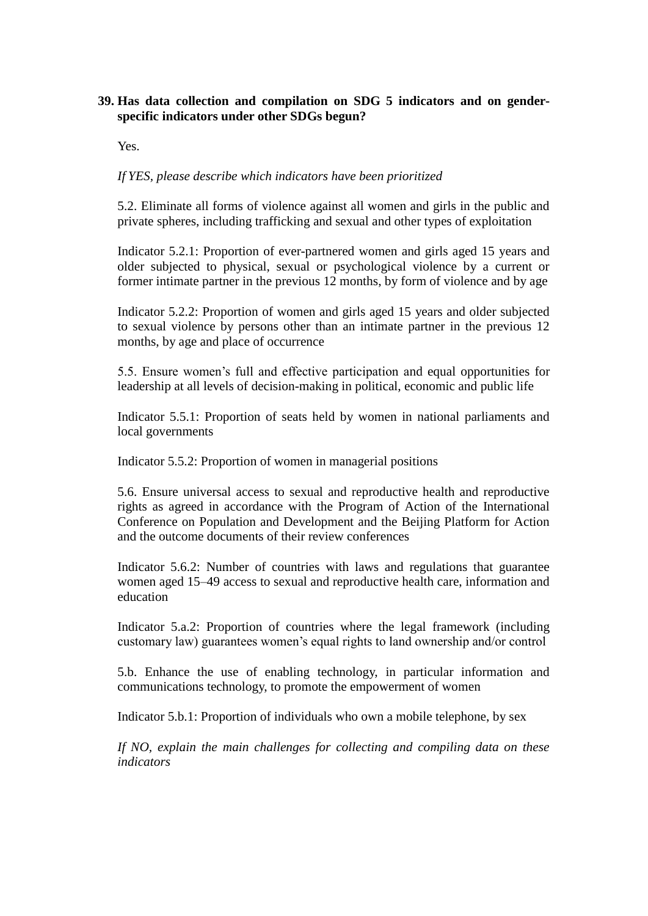### **39. Has data collection and compilation on SDG 5 indicators and on genderspecific indicators under other SDGs begun?**

Yes.

### *If YES, please describe which indicators have been prioritized*

5.2. Eliminate all forms of violence against all women and girls in the public and private spheres, including trafficking and sexual and other types of exploitation

Indicator 5.2.1: Proportion of ever-partnered women and girls aged 15 years and older subjected to physical, sexual or psychological violence by a current or former intimate partner in the previous 12 months, by form of violence and by age

Indicator 5.2.2: Proportion of women and girls aged 15 years and older subjected to sexual violence by persons other than an intimate partner in the previous 12 months, by age and place of occurrence

5.5. Ensure women's full and effective participation and equal opportunities for leadership at all levels of decision-making in political, economic and public life

Indicator 5.5.1: Proportion of seats held by women in national parliaments and local governments

Indicator 5.5.2: Proportion of women in managerial positions

5.6. Ensure universal access to sexual and reproductive health and reproductive rights as agreed in accordance with the Program of Action of the International Conference on Population and Development and the Beijing Platform for Action and the outcome documents of their review conferences

Indicator 5.6.2: Number of countries with laws and regulations that guarantee women aged 15–49 access to sexual and reproductive health care, information and education

Indicator 5.a.2: Proportion of countries where the legal framework (including customary law) guarantees women's equal rights to land ownership and/or control

5.b. Enhance the use of enabling technology, in particular information and communications technology, to promote the empowerment of women

Indicator 5.b.1: Proportion of individuals who own a mobile telephone, by sex

*If NO, explain the main challenges for collecting and compiling data on these indicators*